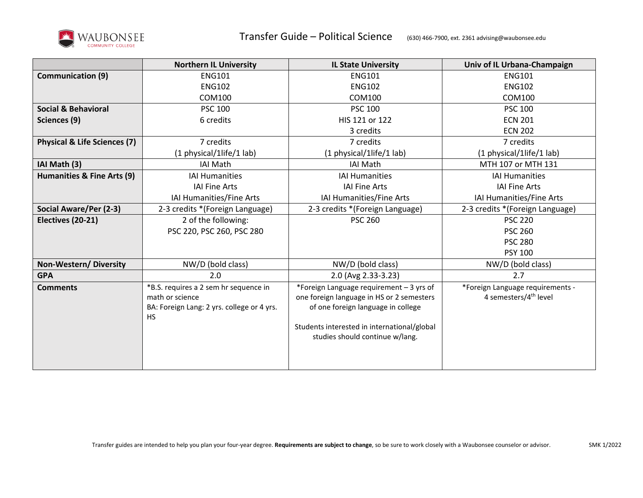

|                                         | <b>Northern IL University</b>                                                                                       | <b>IL State University</b>                                                                                                                                                                                    | Univ of IL Urbana-Champaign                                           |
|-----------------------------------------|---------------------------------------------------------------------------------------------------------------------|---------------------------------------------------------------------------------------------------------------------------------------------------------------------------------------------------------------|-----------------------------------------------------------------------|
| <b>Communication (9)</b>                | <b>ENG101</b>                                                                                                       | <b>ENG101</b>                                                                                                                                                                                                 | <b>ENG101</b>                                                         |
|                                         | <b>ENG102</b>                                                                                                       | <b>ENG102</b>                                                                                                                                                                                                 | <b>ENG102</b>                                                         |
|                                         | COM100                                                                                                              | <b>COM100</b>                                                                                                                                                                                                 | <b>COM100</b>                                                         |
| <b>Social &amp; Behavioral</b>          | <b>PSC 100</b>                                                                                                      | <b>PSC 100</b>                                                                                                                                                                                                | <b>PSC 100</b>                                                        |
| Sciences (9)                            | 6 credits                                                                                                           | HIS 121 or 122                                                                                                                                                                                                | <b>ECN 201</b>                                                        |
|                                         |                                                                                                                     | 3 credits                                                                                                                                                                                                     | <b>ECN 202</b>                                                        |
| <b>Physical &amp; Life Sciences (7)</b> | 7 credits                                                                                                           | 7 credits                                                                                                                                                                                                     | 7 credits                                                             |
|                                         | (1 physical/1life/1 lab)                                                                                            | (1 physical/1life/1 lab)                                                                                                                                                                                      | (1 physical/1life/1 lab)                                              |
| IAI Math (3)                            | IAI Math                                                                                                            | <b>IAI Math</b>                                                                                                                                                                                               | MTH 107 or MTH 131                                                    |
| Humanities & Fine Arts (9)              | <b>IAI Humanities</b>                                                                                               | <b>IAI Humanities</b>                                                                                                                                                                                         | <b>IAI Humanities</b>                                                 |
|                                         | <b>IAI Fine Arts</b>                                                                                                | <b>IAI Fine Arts</b>                                                                                                                                                                                          | <b>IAI Fine Arts</b>                                                  |
|                                         | IAI Humanities/Fine Arts                                                                                            | IAI Humanities/Fine Arts                                                                                                                                                                                      | IAI Humanities/Fine Arts                                              |
| Social Aware/Per (2-3)                  | 2-3 credits *(Foreign Language)                                                                                     | 2-3 credits *(Foreign Language)                                                                                                                                                                               | 2-3 credits *(Foreign Language)                                       |
| Electives (20-21)                       | 2 of the following:                                                                                                 | <b>PSC 260</b>                                                                                                                                                                                                | <b>PSC 220</b>                                                        |
|                                         | PSC 220, PSC 260, PSC 280                                                                                           |                                                                                                                                                                                                               | <b>PSC 260</b>                                                        |
|                                         |                                                                                                                     |                                                                                                                                                                                                               | <b>PSC 280</b>                                                        |
|                                         |                                                                                                                     |                                                                                                                                                                                                               | <b>PSY 100</b>                                                        |
| Non-Western/Diversity                   | NW/D (bold class)                                                                                                   | NW/D (bold class)                                                                                                                                                                                             | NW/D (bold class)                                                     |
| <b>GPA</b>                              | 2.0                                                                                                                 | 2.0 (Avg 2.33-3.23)                                                                                                                                                                                           | 2.7                                                                   |
| <b>Comments</b>                         | *B.S. requires a 2 sem hr sequence in<br>math or science<br>BA: Foreign Lang: 2 yrs. college or 4 yrs.<br><b>HS</b> | *Foreign Language requirement - 3 yrs of<br>one foreign language in HS or 2 semesters<br>of one foreign language in college<br>Students interested in international/global<br>studies should continue w/lang. | *Foreign Language requirements -<br>4 semesters/4 <sup>th</sup> level |